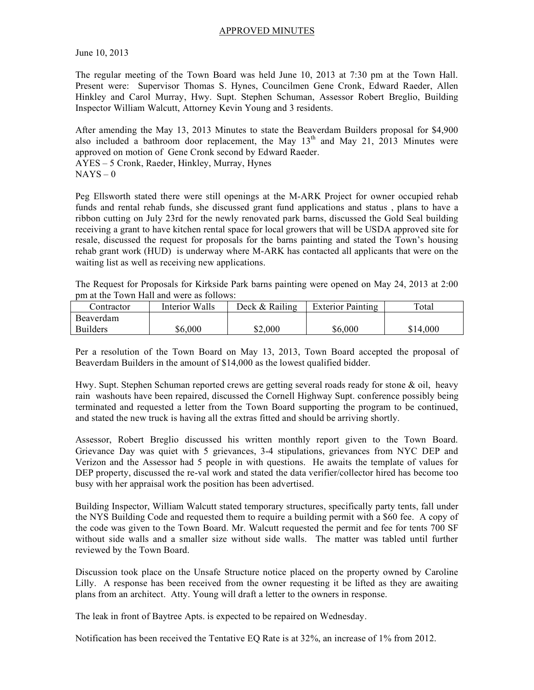## APPROVED MINUTES

June 10, 2013

The regular meeting of the Town Board was held June 10, 2013 at 7:30 pm at the Town Hall. Present were: Supervisor Thomas S. Hynes, Councilmen Gene Cronk, Edward Raeder, Allen Hinkley and Carol Murray, Hwy. Supt. Stephen Schuman, Assessor Robert Breglio, Building Inspector William Walcutt, Attorney Kevin Young and 3 residents.

After amending the May 13, 2013 Minutes to state the Beaverdam Builders proposal for \$4,900 also included a bathroom door replacement, the May  $13<sup>th</sup>$  and May 21, 2013 Minutes were approved on motion of Gene Cronk second by Edward Raeder. AYES – 5 Cronk, Raeder, Hinkley, Murray, Hynes  $NAYS - 0$ 

Peg Ellsworth stated there were still openings at the M-ARK Project for owner occupied rehab funds and rental rehab funds, she discussed grant fund applications and status , plans to have a ribbon cutting on July 23rd for the newly renovated park barns, discussed the Gold Seal building receiving a grant to have kitchen rental space for local growers that will be USDA approved site for resale, discussed the request for proposals for the barns painting and stated the Town's housing rehab grant work (HUD) is underway where M-ARK has contacted all applicants that were on the waiting list as well as receiving new applications.

The Request for Proposals for Kirkside Park barns painting were opened on May 24, 2013 at 2:00 pm at the Town Hall and were as follows:

| Contractor      | Interior Walls | Deck & Railing | <b>Exterior Painting</b> | Total    |
|-----------------|----------------|----------------|--------------------------|----------|
| Beaverdam       |                |                |                          |          |
| <b>Builders</b> | \$6,000        | \$2,000        | \$6,000                  | \$14,000 |

Per a resolution of the Town Board on May 13, 2013, Town Board accepted the proposal of Beaverdam Builders in the amount of \$14,000 as the lowest qualified bidder.

Hwy. Supt. Stephen Schuman reported crews are getting several roads ready for stone & oil, heavy rain washouts have been repaired, discussed the Cornell Highway Supt. conference possibly being terminated and requested a letter from the Town Board supporting the program to be continued, and stated the new truck is having all the extras fitted and should be arriving shortly.

Assessor, Robert Breglio discussed his written monthly report given to the Town Board. Grievance Day was quiet with 5 grievances, 3-4 stipulations, grievances from NYC DEP and Verizon and the Assessor had 5 people in with questions. He awaits the template of values for DEP property, discussed the re-val work and stated the data verifier/collector hired has become too busy with her appraisal work the position has been advertised.

Building Inspector, William Walcutt stated temporary structures, specifically party tents, fall under the NYS Building Code and requested them to require a building permit with a \$60 fee. A copy of the code was given to the Town Board. Mr. Walcutt requested the permit and fee for tents 700 SF without side walls and a smaller size without side walls. The matter was tabled until further reviewed by the Town Board.

Discussion took place on the Unsafe Structure notice placed on the property owned by Caroline Lilly. A response has been received from the owner requesting it be lifted as they are awaiting plans from an architect. Atty. Young will draft a letter to the owners in response.

The leak in front of Baytree Apts. is expected to be repaired on Wednesday.

Notification has been received the Tentative EQ Rate is at 32%, an increase of 1% from 2012.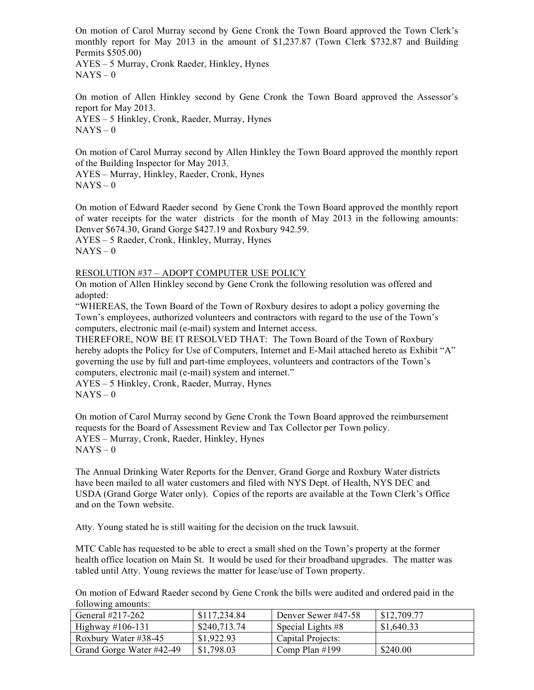On motion of Carol Murray second by Gene Cronk the Town Board approved the Town Clerk's monthly report for May 2013 in the amount of \$1,237.87 (Town Clerk \$732.87 and Building Permits \$505.00)

AYES – 5 Murray, Cronk Raeder, Hinkley, Hynes  $NAYS - 0$ 

On motion of Allen Hinkley second by Gene Cronk the Town Board approved the Assessor's report for May 2013. AYES – 5 Hinkley, Cronk, Raeder, Murray, Hynes

 $NAYS - 0$ 

On motion of Carol Murray second by Allen Hinkley the Town Board approved the monthly report of the Building Inspector for May 2013.

AYES – Murray, Hinkley, Raeder, Cronk, Hynes  $NAYS - 0$ 

On motion of Edward Raeder second by Gene Cronk the Town Board approved the monthly report of water receipts for the water districts for the month of May 2013 in the following amounts: Denver \$674.30, Grand Gorge \$427.19 and Roxbury 942.59. AYES – 5 Raeder, Cronk, Hinkley, Murray, Hynes  $NAYS - 0$ 

## RESOLUTION #37 – ADOPT COMPUTER USE POLICY

On motion of Allen Hinkley second by Gene Cronk the following resolution was offered and adopted:

"WHEREAS, the Town Board of the Town of Roxbury desires to adopt a policy governing the Town's employees, authorized volunteers and contractors with regard to the use of the Town's computers, electronic mail (e-mail) system and Internet access.

THEREFORE, NOW BE IT RESOLVED THAT: The Town Board of the Town of Roxbury hereby adopts the Policy for Use of Computers, Internet and E-Mail attached hereto as Exhibit "A" governing the use by full and part-time employees, volunteers and contractors of the Town's computers, electronic mail (e-mail) system and internet."

AYES – 5 Hinkley, Cronk, Raeder, Murray, Hynes  $NAYS - 0$ 

On motion of Carol Murray second by Gene Cronk the Town Board approved the reimbursement requests for the Board of Assessment Review and Tax Collector per Town policy. AYES – Murray, Cronk, Raeder, Hinkley, Hynes  $NAYS - 0$ 

The Annual Drinking Water Reports for the Denver, Grand Gorge and Roxbury Water districts have been mailed to all water customers and filed with NYS Dept. of Health, NYS DEC and USDA (Grand Gorge Water only). Copies of the reports are available at the Town Clerk's Office and on the Town website.

Atty. Young stated he is still waiting for the decision on the truck lawsuit.

MTC Cable has requested to be able to erect a small shed on the Town's property at the former health office location on Main St. It would be used for their broadband upgrades. The matter was tabled until Atty. Young reviews the matter for lease/use of Town property.

On motion of Edward Raeder second by Gene Cronk the bills were audited and ordered paid in the following amounts:

| General #217-262         | \$117,234.84 | Denver Sewer #47-58 | \$12,709.77 |
|--------------------------|--------------|---------------------|-------------|
| Highway $\#106-131$      | \$240,713.74 | Special Lights #8   | \$1,640.33  |
| Roxbury Water #38-45     | \$1,922.93   | Capital Projects:   |             |
| Grand Gorge Water #42-49 | \$1,798.03   | Comp Plan $#199$    | \$240.00    |